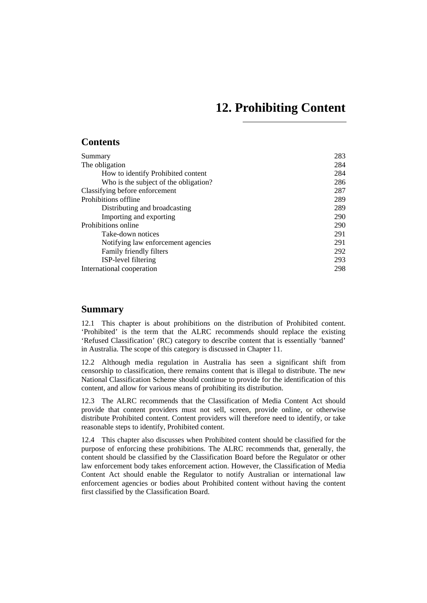# **12. Prohibiting Content**

# <span id="page-0-0"></span>**Contents**

| Summary                               | 283 |
|---------------------------------------|-----|
| The obligation                        | 284 |
| How to identify Prohibited content    | 284 |
| Who is the subject of the obligation? | 286 |
| Classifying before enforcement        | 287 |
| Prohibitions offline                  | 289 |
| Distributing and broadcasting         | 289 |
| Importing and exporting               | 290 |
| Prohibitions online                   | 290 |
| Take-down notices                     | 291 |
| Notifying law enforcement agencies    | 291 |
| Family friendly filters               | 292 |
| ISP-level filtering                   | 293 |
| International cooperation             | 298 |

## **Summary**

12.1 This chapter is about prohibitions on the distribution of Prohibited content. 'Prohibited' is the term that the ALRC recommends should replace the existing 'Refused Classification' (RC) category to describe content that is essentially 'banned' in Australia. The scope of this category is discussed in Chapter 11.

12.2 Although media regulation in Australia has seen a significant shift from censorship to classification, there remains content that is illegal to distribute. The new National Classification Scheme should continue to provide for the identification of this content, and allow for various means of prohibiting its distribution.

12.3 The ALRC recommends that the Classification of Media Content Act should provide that content providers must not sell, screen, provide online, or otherwise distribute Prohibited content. Content providers will therefore need to identify, or take reasonable steps to identify, Prohibited content.

12.4 This chapter also discusses when Prohibited content should be classified for the purpose of enforcing these prohibitions. The ALRC recommends that, generally, the content should be classified by the Classification Board before the Regulator or other law enforcement body takes enforcement action. However, the Classification of Media Content Act should enable the Regulator to notify Australian or international law enforcement agencies or bodies about Prohibited content without having the content first classified by the Classification Board.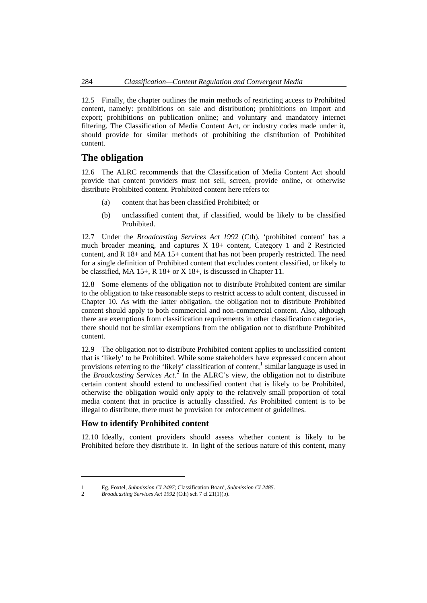<span id="page-1-0"></span>12.5 Finally, the chapter outlines the main methods of restricting access to Prohibited content, namely: prohibitions on sale and distribution; prohibitions on import and export; prohibitions on publication online; and voluntary and mandatory internet filtering. The Classification of Media Content Act, or industry codes made under it, should provide for similar methods of prohibiting the distribution of Prohibited content.

# **The obligation**

12.6 The ALRC recommends that the Classification of Media Content Act should provide that content providers must not sell, screen, provide online, or otherwise distribute Prohibited content. Prohibited content here refers to:

- (a) content that has been classified Prohibited; or
- (b) unclassified content that, if classified, would be likely to be classified Prohibited.

12.7 Under the *Broadcasting Services Act 1992* (Cth), 'prohibited content' has a much broader meaning, and captures X 18+ content, Category 1 and 2 Restricted content, and R 18+ and MA 15+ content that has not been properly restricted. The need for a single definition of Prohibited content that excludes content classified, or likely to be classified, MA 15+, R 18+ or X 18+, is discussed in Chapter 11.

12.8 Some elements of the obligation not to distribute Prohibited content are similar to the obligation to take reasonable steps to restrict access to adult content, discussed in Chapter 10. As with the latter obligation, the obligation not to distribute Prohibited content should apply to both commercial and non-commercial content. Also, although there are exemptions from classification requirements in other classification categories, there should not be similar exemptions from the obligation not to distribute Prohibited content.

12.9 The obligation not to distribute Prohibited content applies to unclassified content that is 'likely' to be Prohibited. While some stakeholders have expressed concern about provisions referring to the 'likely' classification of content, $\frac{1}{1}$  $\frac{1}{1}$  $\frac{1}{1}$  similar language is used in the *Broadcasting Services Act*. [2](#page-1-2) In the ALRC's view, the obligation not to distribute certain content should extend to unclassified content that is likely to be Prohibited, otherwise the obligation would only apply to the relatively small proportion of total media content that in practice is actually classified. As Prohibited content is to be illegal to distribute, there must be provision for enforcement of guidelines.

## **How to identify Prohibited content**

 $\overline{a}$ 

12.10 Ideally, content providers should assess whether content is likely to be Prohibited before they distribute it. In light of the serious nature of this content, many

<span id="page-1-1"></span><sup>1</sup> Eg, Foxtel, *Submission CI 2497*; Classification Board, *Submission CI 2485*.

<span id="page-1-2"></span><sup>2</sup> *Broadcasting Services Act 1992* (Cth) sch 7 cl 21(1)(b).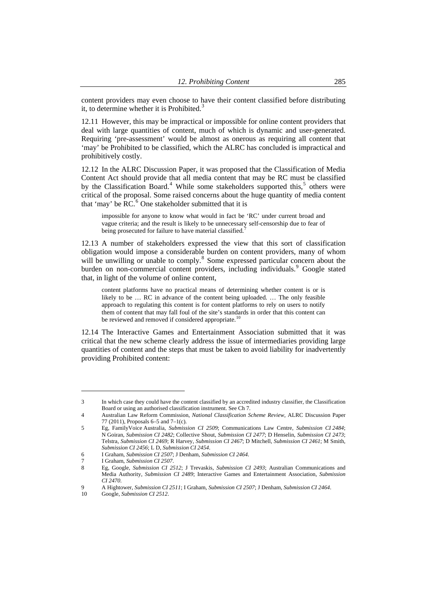content providers may even choose to have their content classified before distributing it, to determine whether it is Prohibited.<sup>3</sup>

12.11 However, this may be impractical or impossible for online content providers that deal with large quantities of content, much of which is dynamic and user-generated. Requiring 'pre-assessment' would be almost as onerous as requiring all content that 'may' be Prohibited to be classified, which the ALRC has concluded is impractical and prohibitively costly.

12.12 In the ALRC Discussion Paper, it was proposed that the Classification of Media Content Act should provide that all media content that may be RC must be classified by the Classification Board.<sup>[4](#page-2-0)</sup> While some stakeholders supported this,<sup>[5](#page-2-1)</sup> others were critical of the proposal. Some raised concerns about the huge quantity of media content that 'may' be  $\overline{RC}^6$  $\overline{RC}^6$ . One stakeholder submitted that it is

impossible for anyone to know what would in fact be 'RC' under current broad and vague criteria; and the result is likely to be unnecessary self-censorship due to fear of being prosecuted for failure to have material classified.<sup>[7](#page-2-3)</sup>

12.13 A number of stakeholders expressed the view that this sort of classification obligation would impose a considerable burden on content providers, many of whom will be unwilling or unable to comply.<sup>[8](#page-2-4)</sup> Some expressed particular concern about the burden on non-commercial content providers, including individuals.<sup>[9](#page-2-5)</sup> Google stated that, in light of the volume of online content,

content platforms have no practical means of determining whether content is or is likely to be … RC in advance of the content being uploaded. … The only feasible approach to regulating this content is for content platforms to rely on users to notify them of content that may fall foul of the site's standards in order that this content can be reviewed and removed if considered appropriate.<sup>[10](#page-2-6)</sup>

12.14 The Interactive Games and Entertainment Association submitted that it was critical that the new scheme clearly address the issue of intermediaries providing large quantities of content and the steps that must be taken to avoid liability for inadvertently providing Prohibited content:

<sup>3</sup> In which case they could have the content classified by an accredited industry classifier, the Classification Board or using an authorised classification instrument. See Ch 7.

<span id="page-2-0"></span><sup>4</sup> Australian Law Reform Commission, *National Classification Scheme Review*, ALRC Discussion Paper 77 (2011), Proposals 6–5 and 7–1(c).

<span id="page-2-1"></span><sup>5</sup> Eg, FamilyVoice Australia, *Submission CI 2509*; Communications Law Centre, *Submission CI 2484*; N Goiran, *Submission CI 2482*; Collective Shout, *Submission CI 2477*; D Henselin, *Submission CI 2473*; Telstra, *Submission CI 2469*; R Harvey, *Submission CI 2467*; D Mitchell, *Submission CI 2461*; M Smith, *Submission CI 2456*; L D, *Submission CI 2454*.

<sup>6</sup> I Graham, *Submission CI 2507*; J Denham, *Submission CI 2464*.

<span id="page-2-3"></span><span id="page-2-2"></span><sup>7</sup> I Graham, *Submission CI 2507*.

<span id="page-2-4"></span><sup>8</sup> Eg, Google, *Submission CI 2512*; J Trevaskis, *Submission CI 2493*; Australian Communications and Media Authority, *Submission CI 2489*; Interactive Games and Entertainment Association, *Submission CI 2470*.

<sup>9</sup> A Hightower, *Submission CI 2511*; I Graham, *Submission CI 2507*; J Denham, *Submission CI 2464*.

<span id="page-2-6"></span><span id="page-2-5"></span><sup>10</sup> Google, *Submission CI 2512*.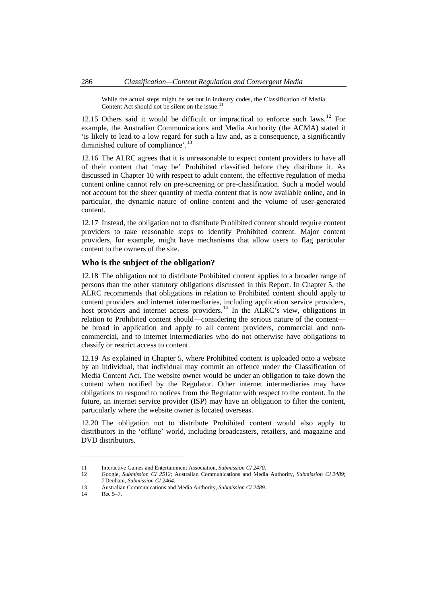<span id="page-3-0"></span>While the actual steps might be set out in industry codes, the Classification of Media Content Act should not be silent on the issue. $11$ 

[12](#page-3-2).15 Others said it would be difficult or impractical to enforce such laws.<sup>12</sup> For example, the Australian Communications and Media Authority (the ACMA) stated it 'is likely to lead to a low regard for such a law and, as a consequence, a significantly diminished culture of compliance'.<sup>[13](#page-3-3)</sup>

12.16 The ALRC agrees that it is unreasonable to expect content providers to have all of their content that 'may be' Prohibited classified before they distribute it. As discussed in Chapter 10 with respect to adult content, the effective regulation of media content online cannot rely on pre-screening or pre-classification. Such a model would not account for the sheer quantity of media content that is now available online, and in particular, the dynamic nature of online content and the volume of user-generated content.

12.17 Instead, the obligation not to distribute Prohibited content should require content providers to take reasonable steps to identify Prohibited content. Major content providers, for example, might have mechanisms that allow users to flag particular content to the owners of the site.

### **Who is the subject of the obligation?**

12.18 The obligation not to distribute Prohibited content applies to a broader range of persons than the other statutory obligations discussed in this Report. In Chapter 5, the ALRC recommends that obligations in relation to Prohibited content should apply to content providers and internet intermediaries, including application service providers, host providers and internet access providers.<sup>[14](#page-3-4)</sup> In the ALRC's view, obligations in relation to Prohibited content should—considering the serious nature of the content be broad in application and apply to all content providers, commercial and noncommercial, and to internet intermediaries who do not otherwise have obligations to classify or restrict access to content.

12.19 As explained in Chapter 5, where Prohibited content is uploaded onto a website by an individual, that individual may commit an offence under the Classification of Media Content Act. The website owner would be under an obligation to take down the content when notified by the Regulator. Other internet intermediaries may have obligations to respond to notices from the Regulator with respect to the content. In the future, an internet service provider (ISP) may have an obligation to filter the content, particularly where the website owner is located overseas.

12.20 The obligation not to distribute Prohibited content would also apply to distributors in the 'offline' world, including broadcasters, retailers, and magazine and DVD distributors.

<span id="page-3-2"></span>12 Google, *Submission CI 2512*; Australian Communications and Media Authority, *Submission CI 2489*; J Denham, *Submission CI 2464*.

<span id="page-3-1"></span><sup>11</sup> Interactive Games and Entertainment Association, *Submission CI 2470*.

<span id="page-3-3"></span><sup>13</sup> Australian Communications and Media Authority, *Submission CI 2489*.

<span id="page-3-4"></span><sup>14</sup> Rec 5–7.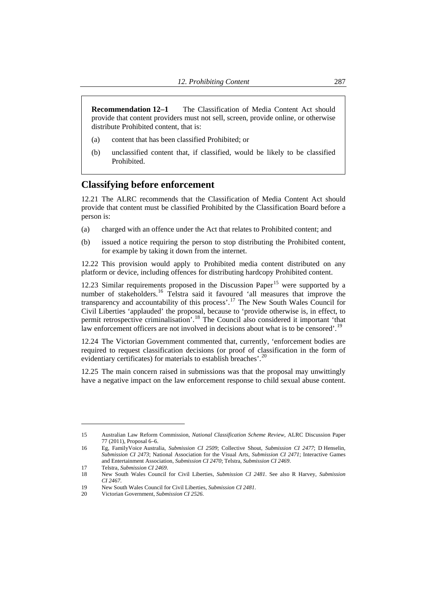<span id="page-4-0"></span>**Recommendation 12–1** The Classification of Media Content Act should provide that content providers must not sell, screen, provide online, or otherwise distribute Prohibited content, that is:

- (a) content that has been classified Prohibited; or
- (b) unclassified content that, if classified, would be likely to be classified Prohibited.

# **Classifying before enforcement**

12.21 The ALRC recommends that the Classification of Media Content Act should provide that content must be classified Prohibited by the Classification Board before a person is:

- (a) charged with an offence under the Act that relates to Prohibited content; and
- (b) issued a notice requiring the person to stop distributing the Prohibited content, for example by taking it down from the internet.

12.22 This provision would apply to Prohibited media content distributed on any platform or device, including offences for distributing hardcopy Prohibited content.

12.23 Similar requirements proposed in the Discussion Paper<sup>[15](#page-4-1)</sup> were supported by a number of stakeholders.<sup>[16](#page-4-2)</sup> Telstra said it favoured 'all measures that improve the transparency and accountability of this process'.[17](#page-4-3) The New South Wales Council for Civil Liberties 'applauded' the proposal, because to 'provide otherwise is, in effect, to permit retrospective criminalisation'.<sup>[18](#page-4-4)</sup> The Council also considered it important 'that law enforcement officers are not involved in decisions about what is to be censored'.<sup>[19](#page-4-5)</sup>

12.24 The Victorian Government commented that, currently, 'enforcement bodies are required to request classification decisions (or proof of classification in the form of evidentiary certificates) for materials to establish breaches'.<sup>21</sup>

12.25 The main concern raised in submissions was that the proposal may unwittingly have a negative impact on the law enforcement response to child sexual abuse content.

<span id="page-4-1"></span><sup>15</sup> Australian Law Reform Commission, *National Classification Scheme Review*, ALRC Discussion Paper 77 (2011), Proposal 6–6.

<span id="page-4-2"></span><sup>16</sup> Eg, FamilyVoice Australia, *Submission CI 2509*; Collective Shout, *Submission CI 2477*; D Henselin, *Submission CI 2473*; National Association for the Visual Arts, *Submission CI 2471*; Interactive Games and Entertainment Association, *Submission CI 2470*; Telstra, *Submission CI 2469*.

<sup>17</sup> Telstra, *Submission CI 2469*.

<span id="page-4-4"></span><span id="page-4-3"></span><sup>18</sup> New South Wales Council for Civil Liberties, *Submission CI 2481*. See also R Harvey, *Submission CI 2467*.

<span id="page-4-5"></span><sup>19</sup> New South Wales Council for Civil Liberties, *Submission CI 2481*.

<span id="page-4-6"></span><sup>20</sup> Victorian Government, *Submission CI 2526*.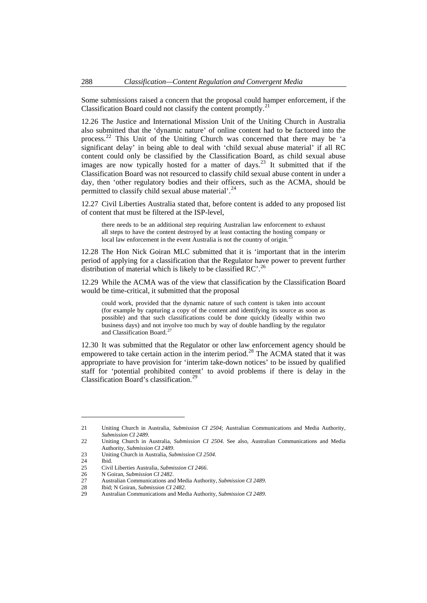Some submissions raised a concern that the proposal could hamper enforcement, if the Classification Board could not classify the content promptly.<sup>21</sup>

12.26 The Justice and International Mission Unit of the Uniting Church in Australia also submitted that the 'dynamic nature' of online content had to be factored into the process.<sup>[22](#page-5-0)</sup> This Unit of the Uniting Church was concerned that there may be 'a significant delay' in being able to deal with 'child sexual abuse material' if all RC content could only be classified by the Classification Board, as child sexual abuse images are now typically hosted for a matter of days.<sup>[23](#page-5-1)</sup> It submitted that if the Classification Board was not resourced to classify child sexual abuse content in under a day, then 'other regulatory bodies and their officers, such as the ACMA, should be permitted to classify child sexual abuse material'.<sup>[24](#page-5-2)</sup>

12.27 Civil Liberties Australia stated that, before content is added to any proposed list of content that must be filtered at the ISP-level,

there needs to be an additional step requiring Australian law enforcement to exhaust all steps to have the content destroyed by at least contacting the hosting company or local law enforcement in the event Australia is not the country of origin.<sup>2</sup>

12.28 The Hon Nick Goiran MLC submitted that it is 'important that in the interim period of applying for a classification that the Regulator have power to prevent further distribution of material which is likely to be classified RC'.<sup>[26](#page-5-4)</sup>

12.29 While the ACMA was of the view that classification by the Classification Board would be time-critical, it submitted that the proposal

could work, provided that the dynamic nature of such content is taken into account (for example by capturing a copy of the content and identifying its source as soon as possible) and that such classifications could be done quickly (ideally within two business days) and not involve too much by way of double handling by the regulator and Classification Board.<sup>[27](#page-5-5)</sup>

12.30 It was submitted that the Regulator or other law enforcement agency should be empowered to take certain action in the interim period.<sup>[28](#page-5-6)</sup> The ACMA stated that it was appropriate to have provision for 'interim take-down notices' to be issued by qualified staff for 'potential prohibited content' to avoid problems if there is delay in the Classification Board's classification.[29](#page-5-7)

<sup>21</sup> Uniting Church in Australia, *Submission CI 2504*; Australian Communications and Media Authority, *Submission CI 2489*.

<span id="page-5-1"></span><span id="page-5-0"></span><sup>22</sup> Uniting Church in Australia, *Submission CI 2504*. See also, Australian Communications and Media Authority, *Submission CI 2489*.

<sup>23</sup> Uniting Church in Australia, *Submission CI 2504*.

Ibid.

<span id="page-5-3"></span><span id="page-5-2"></span><sup>25</sup> Civil Liberties Australia, *Submission CI 2466*.

<span id="page-5-4"></span><sup>26</sup> N Goiran, *Submission CI 2482*.

<span id="page-5-5"></span><sup>27</sup> Australian Communications and Media Authority, *Submission CI 2489*.

<sup>28</sup> Ibid; N Goiran, *Submission CI 2482*.

<span id="page-5-7"></span><span id="page-5-6"></span><sup>29</sup> Australian Communications and Media Authority, *Submission CI 2489*.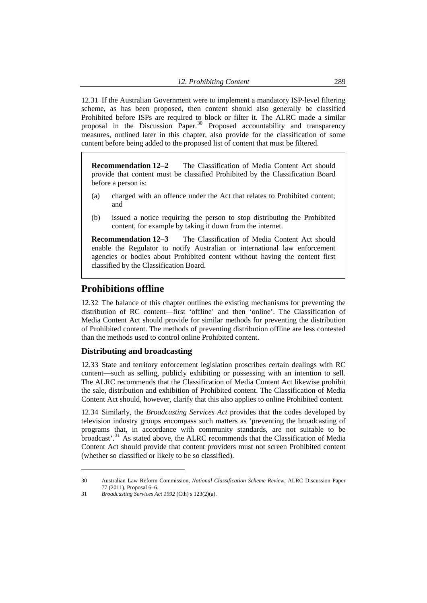<span id="page-6-0"></span>12.31 If the Australian Government were to implement a mandatory ISP-level filtering scheme, as has been proposed, then content should also generally be classified Prohibited before ISPs are required to block or filter it. The ALRC made a similar proposal in the Discussion Paper.<sup>[30](#page-6-1)</sup> Proposed accountability and transparency measures, outlined later in this chapter, also provide for the classification of some content before being added to the proposed list of content that must be filtered.

**Recommendation 12–2** The Classification of Media Content Act should provide that content must be classified Prohibited by the Classification Board before a person is:

- (a) charged with an offence under the Act that relates to Prohibited content; and
- (b) issued a notice requiring the person to stop distributing the Prohibited content, for example by taking it down from the internet.

**Recommendation 12–3** The Classification of Media Content Act should enable the Regulator to notify Australian or international law enforcement agencies or bodies about Prohibited content without having the content first classified by the Classification Board.

# **Prohibitions offline**

12.32 The balance of this chapter outlines the existing mechanisms for preventing the distribution of RC content—first 'offline' and then 'online'. The Classification of Media Content Act should provide for similar methods for preventing the distribution of Prohibited content. The methods of preventing distribution offline are less contested than the methods used to control online Prohibited content.

## **Distributing and broadcasting**

12.33 State and territory enforcement legislation proscribes certain dealings with RC content—such as selling, publicly exhibiting or possessing with an intention to sell. The ALRC recommends that the Classification of Media Content Act likewise prohibit the sale, distribution and exhibition of Prohibited content. The Classification of Media Content Act should, however, clarify that this also applies to online Prohibited content.

12.34 Similarly, the *Broadcasting Services Act* provides that the codes developed by television industry groups encompass such matters as 'preventing the broadcasting of programs that, in accordance with community standards, are not suitable to be broadcast'.[31](#page-6-2) As stated above, the ALRC recommends that the Classification of Media Content Act should provide that content providers must not screen Prohibited content (whether so classified or likely to be so classified).

<span id="page-6-1"></span><sup>30</sup> Australian Law Reform Commission, *National Classification Scheme Review*, ALRC Discussion Paper 77 (2011), Proposal 6–6.

<span id="page-6-2"></span><sup>31</sup> *Broadcasting Services Act 1992* (Cth) s 123(2)(a).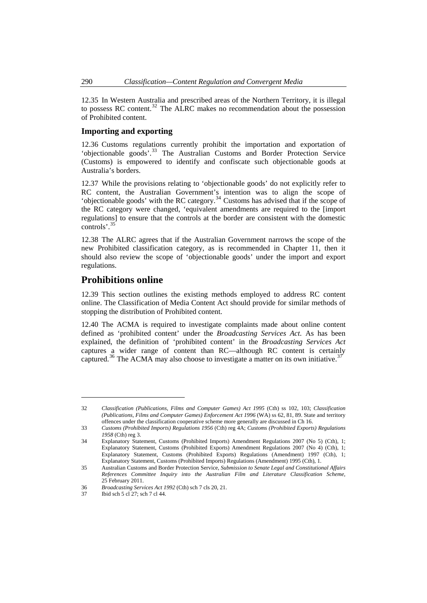<span id="page-7-0"></span>12.35 In Western Australia and prescribed areas of the Northern Territory, it is illegal to possess RC content.<sup>[32](#page-7-1)</sup> The ALRC makes no recommendation about the possession of Prohibited content.

### **Importing and exporting**

12.36 Customs regulations currently prohibit the importation and exportation of 'objectionable goods'.[33](#page-7-2) The Australian Customs and Border Protection Service (Customs) is empowered to identify and confiscate such objectionable goods at Australia's borders.

12.37 While the provisions relating to 'objectionable goods' do not explicitly refer to RC content, the Australian Government's intention was to align the scope of 'objectionable goods' with the RC category.[34](#page-7-3) Customs has advised that if the scope of the RC category were changed, 'equivalent amendments are required to the [import regulations] to ensure that the controls at the border are consistent with the domestic  $controls$ <sup>3</sup>

12.38 The ALRC agrees that if the Australian Government narrows the scope of the new Prohibited classification category, as is recommended in Chapter 11, then it should also review the scope of 'objectionable goods' under the import and export regulations.

# **Prohibitions online**

12.39 This section outlines the existing methods employed to address RC content online. The Classification of Media Content Act should provide for similar methods of stopping the distribution of Prohibited content.

12.40 The ACMA is required to investigate complaints made about online content defined as 'prohibited content' under the *Broadcasting Services Act*. As has been explained, the definition of 'prohibited content' in the *Broadcasting Services Act* captures a wider range of content than RC—although RC content is certainly captured.<sup>[36](#page-7-5)</sup> The ACMA may also choose to investigate a matter on its own initiative.<sup>[37](#page-7-6)</sup>

<span id="page-7-1"></span><sup>32</sup> *Classification (Publications, Films and Computer Games) Act 1995* (Cth) ss 102, 103; *Classification (Publications, Films and Computer Games) Enforcement Act 1996* (WA) ss 62, 81, 89. State and territory offences under the classification cooperative scheme more generally are discussed in Ch 16.

<span id="page-7-2"></span><sup>33</sup> *Customs (Prohibited Imports) Regulations 1956* (Cth) reg 4A; *Customs (Prohibited Exports) Regulations 1958* (Cth) reg 3.

<span id="page-7-3"></span><sup>34</sup> Explanatory Statement, Customs (Prohibited Imports) Amendment Regulations 2007 (No 5) (Cth), 1; Explanatory Statement, Customs (Prohibited Exports) Amendment Regulations 2007 (No 4) (Cth), 1; Explanatory Statement, Customs (Prohibited Exports) Regulations (Amendment) 1997 (Cth), 1; Explanatory Statement, Customs (Prohibited Imports) Regulations (Amendment) 1995 (Cth), 1.

<span id="page-7-4"></span><sup>35</sup> Australian Customs and Border Protection Service, *Submission to Senate Legal and Constitutional Affairs References Committee Inquiry into the Australian Film and Literature Classification Scheme*, 25 February 2011.

<span id="page-7-5"></span><sup>36</sup> *Broadcasting Services Act 1992* (Cth) sch 7 cls 20, 21.

<span id="page-7-6"></span><sup>37</sup> Ibid sch 5 cl 27; sch 7 cl 44.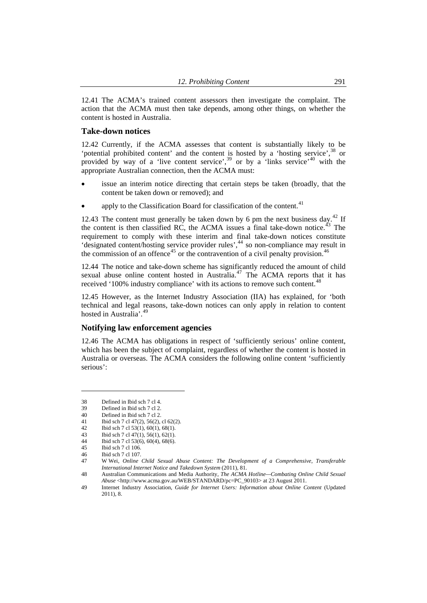<span id="page-8-0"></span>12.41 The ACMA's trained content assessors then investigate the complaint. The action that the ACMA must then take depends, among other things, on whether the content is hosted in Australia.

#### **Take-down notices**

12.42 Currently, if the ACMA assesses that content is substantially likely to be 'potential prohibited content' and the content is hosted by a 'hosting service',<sup>[38](#page-8-1)</sup> or provided by way of a 'live content service',  $39$  or by a 'links service',  $40$  with the appropriate Australian connection, then the ACMA must:

- issue an interim notice directing that certain steps be taken (broadly, that the content be taken down or removed); and
- apply to the Classification Board for classification of the content.<sup>[41](#page-8-4)</sup>

12.43 The content must generally be taken down by 6 pm the next business day.<sup>[42](#page-8-5)</sup> If the content is then classified RC, the ACMA issues a final take-down notice.<sup>[43](#page-8-6)</sup> The requirement to comply with these interim and final take-down notices constitute 'designated content/hosting service provider rules',[44](#page-8-7) so non-compliance may result in the commission of an offence<sup>[45](#page-8-8)</sup> or the contravention of a civil penalty provision.<sup>4</sup>

12.44 The notice and take-down scheme has significantly reduced the amount of child sexual abuse online content hosted in Australia.<sup>[47](#page-8-10)</sup> The ACMA reports that it has received '100% industry compliance' with its actions to remove such content.<sup>[48](#page-8-11)</sup>

12.45 However, as the Internet Industry Association (IIA) has explained, for 'both technical and legal reasons, take-down notices can only apply in relation to content hosted in Australia'.<sup>[49](#page-8-12)</sup>

#### **Notifying law enforcement agencies**

12.46 The ACMA has obligations in respect of 'sufficiently serious' online content, which has been the subject of complaint, regardless of whether the content is hosted in Australia or overseas. The ACMA considers the following online content 'sufficiently serious':

<sup>38</sup> Defined in Ibid sch 7 cl 4.

<span id="page-8-2"></span><span id="page-8-1"></span><sup>39</sup> Defined in Ibid sch 7 cl 2.<br> $\frac{40}{2}$  Defined in Ibid sch 7 cl 2. Defined in Ibid sch 7 cl 2.

<span id="page-8-3"></span><sup>41</sup> Ibid sch 7 cl 47(2), 56(2), cl 62(2).

<span id="page-8-6"></span><span id="page-8-5"></span><span id="page-8-4"></span>

<sup>42</sup> Ibid sch 7 cl 53(1), 60(1), 68(1).<br>43 Ibid sch 7 cl 47(1), 56(1), 62(1). Ibid sch 7 cl  $47(1)$ , 56(1), 62(1).

<sup>44</sup> Ibid sch 7 cl 53(6), 60(4), 68(6).

<span id="page-8-8"></span><span id="page-8-7"></span><sup>45</sup> Ibid sch 7 cl 106.

<sup>46</sup> Ibid sch 7 cl 107.<br>  $\frac{47}{47}$  W Wei Online

<span id="page-8-10"></span><span id="page-8-9"></span><sup>47</sup> W Wei, *Online Child Sexual Abuse Content: The Development of a Comprehensive, Transferable International Internet Notice and Takedown System* (2011), 81.

<span id="page-8-11"></span><sup>48</sup> Australian Communications and Media Authority, *The ACMA Hotline—Combating Online Child Sexual Abuse* <http://www.acma.gov.au/WEB/STANDARD/pc=PC\_90103> at 23 August 2011.

<span id="page-8-12"></span><sup>49</sup> Internet Industry Association, *Guide for Internet Users: Information about Online Content* (Updated 2011), 8.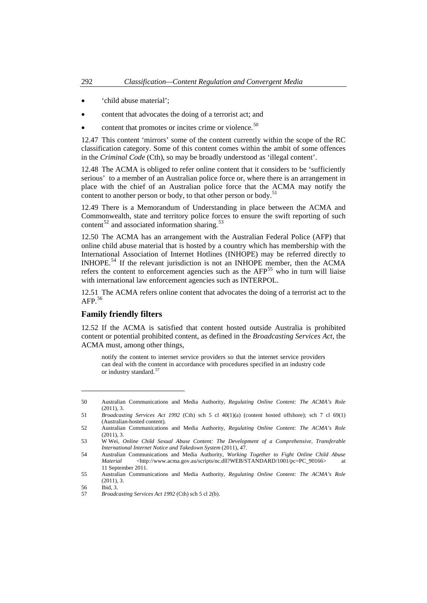- <span id="page-9-0"></span>• 'child abuse material';
- content that advocates the doing of a terrorist act; and
- content that promotes or incites crime or violence.<sup>[50](#page-9-1)</sup>

12.47 This content 'mirrors' some of the content currently within the scope of the RC classification category. Some of this content comes within the ambit of some offences in the *Criminal Code* (Cth), so may be broadly understood as 'illegal content'.

12.48 The ACMA is obliged to refer online content that it considers to be 'sufficiently serious' to a member of an Australian police force or, where there is an arrangement in place with the chief of an Australian police force that the ACMA may notify the content to another person or body, to that other person or body.<sup>[51](#page-9-2)</sup>

12.49 There is a Memorandum of Understanding in place between the ACMA and Commonwealth, state and territory police forces to ensure the swift reporting of such content<sup>[52](#page-9-3)</sup> and associated information sharing.<sup>[53](#page-9-4)</sup>

12.50 The ACMA has an arrangement with the Australian Federal Police (AFP) that online child abuse material that is hosted by a country which has membership with the International Association of Internet Hotlines (INHOPE) may be referred directly to INHOPE.[54](#page-9-5) If the relevant jurisdiction is not an INHOPE member, then the ACMA refers the content to enforcement agencies such as the  $AFP<sup>55</sup>$  $AFP<sup>55</sup>$  $AFP<sup>55</sup>$  who in turn will liaise with international law enforcement agencies such as INTERPOL.

12.51 The ACMA refers online content that advocates the doing of a terrorist act to the  $\mbox{A}\mbox{FP.}^{56}$  $\mbox{A}\mbox{FP.}^{56}$  $\mbox{A}\mbox{FP.}^{56}$ 

#### **Family friendly filters**

12.52 If the ACMA is satisfied that content hosted outside Australia is prohibited content or potential prohibited content, as defined in the *Broadcasting Services Act*, the ACMA must, among other things,

notify the content to internet service providers so that the internet service providers can deal with the content in accordance with procedures specified in an industry code or industry standard.<sup>[57](#page-9-8)</sup>

<span id="page-9-1"></span><sup>50</sup> Australian Communications and Media Authority, *Regulating Online Content: The ACMA's Role* (2011), 3.

<span id="page-9-2"></span><sup>51</sup> *Broadcasting Services Act 1992* (Cth) sch 5 cl 40(1)(a) (content hosted offshore); sch 7 cl 69(1) (Australian-hosted content).

<span id="page-9-3"></span><sup>52</sup> Australian Communications and Media Authority, *Regulating Online Content: The ACMA's Role*  $(2011), 3.$ 

<span id="page-9-4"></span><sup>53</sup> W Wei, *Online Child Sexual Abuse Content: The Development of a Comprehensive, Transferable International Internet Notice and Takedown System* (2011), 47.

<span id="page-9-5"></span><sup>54</sup> Australian Communications and Media Authority, *Working Together to Fight Online Child Abuse Material* <http://www.acma.gov.au/scripts/nc.dll?WEB/STANDARD/1001/pc=PC\_90166> at 11 September 2011.

<span id="page-9-6"></span><sup>55</sup> Australian Communications and Media Authority, *Regulating Online Content: The ACMA's Role*  $(2011), 3.$ 

<span id="page-9-7"></span><sup>56</sup> Ibid, 3.

<span id="page-9-8"></span><sup>57</sup> *Broadcasting Services Act 1992* (Cth) sch 5 cl 2(b).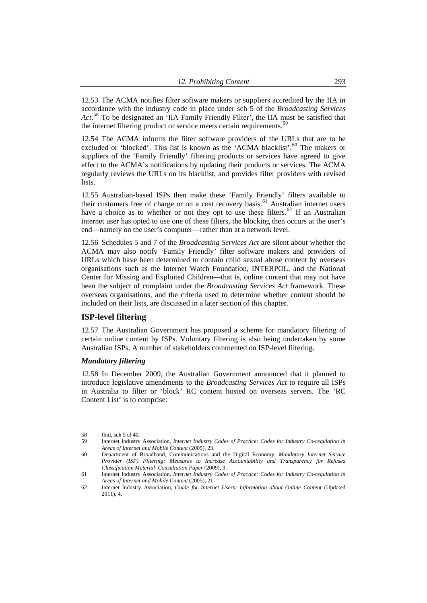<span id="page-10-0"></span>12.53 The ACMA notifies filter software makers or suppliers accredited by the IIA in accordance with the industry code in place under sch 5 of the *Broadcasting Services Act*. [58](#page-10-1) To be designated an 'IIA Family Friendly Filter', the IIA must be satisfied that the internet filtering product or service meets certain requirements.<sup>[59](#page-10-2)</sup>

12.54 The ACMA informs the filter software providers of the URLs that are to be excluded or 'blocked'. This list is known as the 'ACMA blacklist'.<sup>[60](#page-10-3)</sup> The makers or suppliers of the 'Family Friendly' filtering products or services have agreed to give effect to the ACMA's notifications by updating their products or services. The ACMA regularly reviews the URLs on its blacklist, and provides filter providers with revised lists.

12.55 Australian-based ISPs then make these 'Family Friendly' filters available to their customers free of charge or on a cost recovery basis.<sup>[61](#page-10-4)</sup> Australian internet users have a choice as to whether or not they opt to use these filters.<sup>[62](#page-10-5)</sup> If an Australian internet user has opted to use one of these filters, the blocking then occurs at the user's end—namely on the user's computer—rather than at a network level.

12.56 Schedules 5 and 7 of the *Broadcasting Services Act* are silent about whether the ACMA may also notify 'Family Friendly' filter software makers and providers of URLs which have been determined to contain child sexual abuse content by overseas organisations such as the Internet Watch Foundation, INTERPOL, and the National Center for Missing and Exploited Children—that is, online content that may not have been the subject of complaint under the *Broadcasting Services Act* framework. These overseas organisations, and the criteria used to determine whether content should be included on their lists, are discussed in a later section of this chapter.

#### **ISP-level filtering**

12.57 The Australian Government has proposed a scheme for mandatory filtering of certain online content by ISPs. Voluntary filtering is also being undertaken by some Australian ISPs. A number of stakeholders commented on ISP-level filtering.

#### *Mandatory filtering*

12.58 In December 2009, the Australian Government announced that it planned to introduce legislative amendments to the *Broadcasting Services Act* to require all ISPs in Australia to filter or 'block' RC content hosted on overseas servers. The 'RC Content List' is to comprise:

<sup>58</sup> Ibid, sch 5 cl 40.

<span id="page-10-2"></span><span id="page-10-1"></span><sup>59</sup> Internet Industry Association, *Internet Industry Codes of Practice: Codes for Industry Co-regulation in Areas of Internet and Mobile Content* (2005), 23.

<span id="page-10-3"></span><sup>60</sup> Department of Broadband, Communications and the Digital Economy, *Mandatory Internet Service Provider (ISP) Filtering: Measures to Increase Accountability and Transparency for Refused Classification Material–Consultation Paper* (2009), 3.

<span id="page-10-4"></span><sup>61</sup> Internet Industry Association, *Internet Industry Codes of Practice: Codes for Industry Co-regulation in Areas of Internet and Mobile Content* (2005), 21.

<span id="page-10-5"></span><sup>62</sup> Internet Industry Association, *Guide for Internet Users: Information about Online Content* (Updated 2011), 4.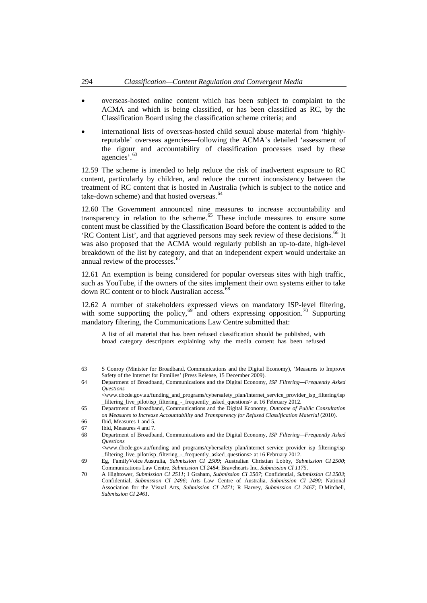- overseas-hosted online content which has been subject to complaint to the ACMA and which is being classified, or has been classified as RC, by the Classification Board using the classification scheme criteria; and
- international lists of overseas-hosted child sexual abuse material from 'highlyreputable' overseas agencies—following the ACMA's detailed 'assessment of the rigour and accountability of classification processes used by these agencies'.[63](#page-11-0)

12.59 The scheme is intended to help reduce the risk of inadvertent exposure to RC content, particularly by children, and reduce the current inconsistency between the treatment of RC content that is hosted in Australia (which is subject to the notice and take-down scheme) and that hosted overseas.<sup>[64](#page-11-1)</sup>

12.60 The Government announced nine measures to increase accountability and transparency in relation to the scheme. $65$  These include measures to ensure some content must be classified by the Classification Board before the content is added to the 'RC Content List', and that aggrieved persons may seek review of these decisions.<sup>[66](#page-11-3)</sup> It was also proposed that the ACMA would regularly publish an up-to-date, high-level breakdown of the list by category, and that an independent expert would undertake an annual review of the processes.<sup>[67](#page-11-4)</sup>

12.61 An exemption is being considered for popular overseas sites with high traffic, such as YouTube, if the owners of the sites implement their own systems either to take down RC content or to block Australian access.<sup>[68](#page-11-5)</sup>

12.62 A number of stakeholders expressed views on mandatory ISP-level filtering, with some supporting the policy,<sup>[69](#page-11-6)</sup> and others expressing opposition.<sup>[70](#page-11-7)</sup> Supporting mandatory filtering, the Communications Law Centre submitted that:

A list of all material that has been refused classification should be published, with broad category descriptors explaining why the media content has been refused

<span id="page-11-0"></span><sup>63</sup> S Conroy (Minister for Broadband, Communications and the Digital Economy), 'Measures to Improve Safety of the Internet for Families' (Press Release, 15 December 2009).

<span id="page-11-1"></span><sup>64</sup> Department of Broadband, Communications and the Digital Economy, *ISP Filtering—Frequently Asked Questions*

<sup>&</sup>lt;www.dbcde.gov.au/funding\_and\_programs/cybersafety\_plan/internet\_service\_provider\_isp\_filtering/isp \_filtering\_live\_pilot/isp\_filtering\_-\_frequently\_asked\_questions> at 16 February 2012.

<span id="page-11-2"></span><sup>65</sup> Department of Broadband, Communications and the Digital Economy, *Outcome of Public Consultation on Measures to Increase Accountability and Transparency for Refused Classification Material* (2010).

<span id="page-11-3"></span><sup>66</sup> Ibid, Measures 1 and 5.

<sup>67</sup> Ibid, Measures 4 and 7.

<span id="page-11-5"></span><span id="page-11-4"></span><sup>68</sup> Department of Broadband, Communications and the Digital Economy, *ISP Filtering—Frequently Asked Questions*

<sup>&</sup>lt;www.dbcde.gov.au/funding\_and\_programs/cybersafety\_plan/internet\_service\_provider\_isp\_filtering/isp \_filtering\_live\_pilot/isp\_filtering\_-\_frequently\_asked\_questions> at 16 February 2012.

<span id="page-11-6"></span><sup>69</sup> Eg, FamilyVoice Australia, *Submission CI 2509*; Australian Christian Lobby, *Submission CI 2500*; Communications Law Centre, *Submission CI 2484*; Bravehearts Inc, *Submission CI 1175*.

<span id="page-11-7"></span><sup>70</sup> A Hightower, *Submission CI 2511*; I Graham, *Submission CI 2507*; Confidential, *Submission CI 2503*; Confidential, *Submission CI 2496*; Arts Law Centre of Australia, *Submission CI 2490*; National Association for the Visual Arts, *Submission CI 2471*; R Harvey, *Submission CI 2467*; D Mitchell, *Submission CI 2461*.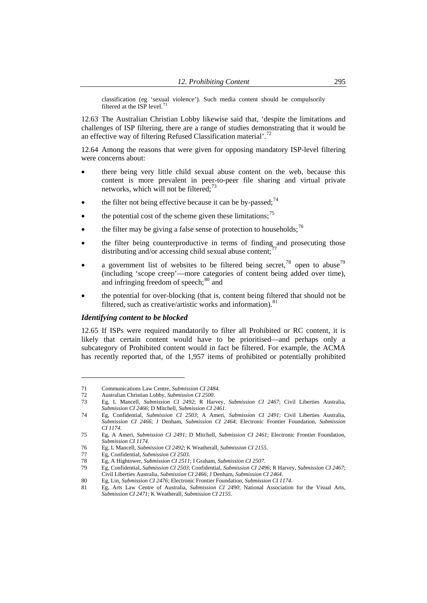classification (eg 'sexual violence'). Such media content should be compulsorily filtered at the ISP level. $71$ 

12.63 The Australian Christian Lobby likewise said that, 'despite the limitations and challenges of ISP filtering, there are a range of studies demonstrating that it would be an effective way of filtering Refused Classification material'.<sup>[72](#page-12-1)</sup>

12.64 Among the reasons that were given for opposing mandatory ISP-level filtering were concerns about:

- there being very little child sexual abuse content on the web, because this content is more prevalent in peer-to-peer file sharing and virtual private networks, which will not be filtered;<sup>[73](#page-12-2)</sup>
- the filter not being effective because it can be by-passed:  $74$
- the potential cost of the scheme given these limitations;<sup>[75](#page-12-4)</sup>
- the filter may be giving a false sense of protection to households;<sup>[76](#page-12-5)</sup>
- the filter being counterproductive in terms of finding and prosecuting those distributing and/or accessing child sexual abuse content;
- a government list of websites to be filtered being secret,<sup>[78](#page-12-7)</sup> open to abuse<sup>79</sup> (including 'scope creep'—more categories of content being added over time), and infringing freedom of speech: $80$  and
- the potential for over-blocking (that is, content being filtered that should not be filtered, such as creative/artistic works and information).  $81$

#### *Identifying content to be blocked*

 $\overline{a}$ 

12.65 If ISPs were required mandatorily to filter all Prohibited or RC content, it is likely that certain content would have to be prioritised—and perhaps only a subcategory of Prohibited content would in fact be filtered. For example, the ACMA has recently reported that, of the 1,957 items of prohibited or potentially prohibited

<span id="page-12-0"></span><sup>71</sup> Communications Law Centre, *Submission CI 2484*.

<span id="page-12-1"></span><sup>72</sup> Australian Christian Lobby, *Submission CI 2500*.

<span id="page-12-2"></span><sup>73</sup> Eg, L Mancell, *Submission CI 2492*; R Harvey, *Submission CI 2467*; Civil Liberties Australia, *Submission CI 2466*; D Mitchell, *Submission CI 2461*.

<span id="page-12-3"></span><sup>74</sup> Eg, Confidential, *Submission CI 2503*; A Ameri, *Submission CI 2491*; Civil Liberties Australia, *Submission CI 2466*; J Denham, *Submission CI 2464*; Electronic Frontier Foundation, *Submission CI 1174*.

<span id="page-12-4"></span><sup>75</sup> Eg, A Ameri, *Submission CI 2491*; D Mitchell, *Submission CI 2461*; Electronic Frontier Foundation, *Submission CI 1174*.

<span id="page-12-6"></span><span id="page-12-5"></span><sup>76</sup> Eg, L Mancell, *Submission CI 2492*; K Weatherall, *Submission CI 2155*.

<sup>77</sup> Eg, Confidential, *Submission CI 2503*.

<span id="page-12-7"></span><sup>78</sup> Eg, A Hightower, *Submission CI 2511*; I Graham, *Submission CI 2507*.

<span id="page-12-8"></span><sup>79</sup> Eg, Confidential, *Submission CI 2503*; Confidential, *Submission CI 2496*; R Harvey, *Submission CI 2467*; Civil Liberties Australia, *Submission CI 2466*; J Denham, *Submission CI 2464*.

<span id="page-12-10"></span><span id="page-12-9"></span><sup>80</sup> Eg, Lin, *Submission CI 2476*; Electronic Frontier Foundation, *Submission CI 1174*.

<sup>81</sup> Eg, Arts Law Centre of Australia, *Submission CI 2490*; National Association for the Visual Arts, *Submission CI 2471*; K Weatherall, *Submission CI 2155*.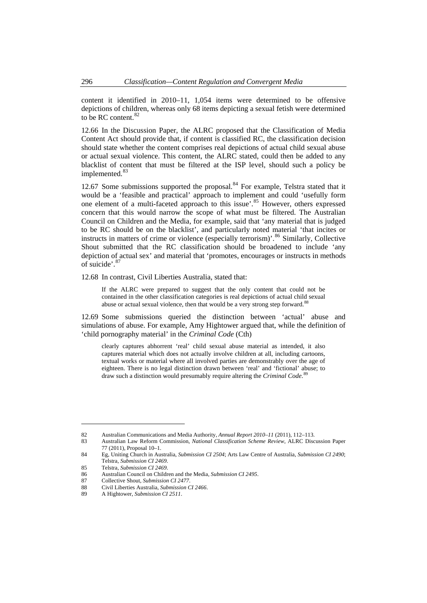content it identified in 2010–11, 1,054 items were determined to be offensive depictions of children, whereas only 68 items depicting a sexual fetish were determined to be RC content.<sup>82</sup>

12.66 In the Discussion Paper, the ALRC proposed that the Classification of Media Content Act should provide that, if content is classified RC, the classification decision should state whether the content comprises real depictions of actual child sexual abuse or actual sexual violence. This content, the ALRC stated, could then be added to any blacklist of content that must be filtered at the ISP level, should such a policy be implemented.<sup>8</sup>

12.67 Some submissions supported the proposal.<sup>[84](#page-13-1)</sup> For example, Telstra stated that it would be a 'feasible and practical' approach to implement and could 'usefully form one element of a multi-faceted approach to this issue'.<sup>[85](#page-13-2)</sup> However, others expressed concern that this would narrow the scope of what must be filtered. The Australian Council on Children and the Media, for example, said that 'any material that is judged to be RC should be on the blacklist', and particularly noted material 'that incites or instructs in matters of crime or violence (especially terrorism)'.<sup>[86](#page-13-3)</sup> Similarly, Collective Shout submitted that the RC classification should be broadened to include 'any depiction of actual sex' and material that 'promotes, encourages or instructs in methods of suicide'.[87](#page-13-4)

12.68 In contrast, Civil Liberties Australia, stated that:

If the ALRC were prepared to suggest that the only content that could not be contained in the other classification categories is real depictions of actual child sexual abuse or actual sexual violence, then that would be a very strong step forward.<sup>[88](#page-13-5)</sup>

12.69 Some submissions queried the distinction between 'actual' abuse and simulations of abuse. For example, Amy Hightower argued that, while the definition of 'child pornography material' in the *Criminal Code* (Cth)

clearly captures abhorrent 'real' child sexual abuse material as intended, it also captures material which does not actually involve children at all, including cartoons, textual works or material where all involved parties are demonstrably over the age of eighteen. There is no legal distinction drawn between 'real' and 'fictional' abuse; to draw such a distinction would presumably require altering the *Criminal Code*. [89](#page-13-6)

<sup>82</sup> Australian Communications and Media Authority, *Annual Report 2010–11* (2011), 112–113.

<span id="page-13-0"></span><sup>83</sup> Australian Law Reform Commission, *National Classification Scheme Review*, ALRC Discussion Paper 77 (2011), Proposal 10–1.

<span id="page-13-1"></span><sup>84</sup> Eg, Uniting Church in Australia, *Submission CI 2504*; Arts Law Centre of Australia, *Submission CI 2490*; Telstra, *Submission CI 2469*.

<span id="page-13-2"></span><sup>85</sup> Telstra, *Submission CI 2469*.

<span id="page-13-3"></span><sup>86</sup> Australian Council on Children and the Media, *Submission CI 2495*.

<span id="page-13-4"></span><sup>87</sup> Collective Shout, *Submission CI 2477*.

<span id="page-13-5"></span><sup>88</sup> Civil Liberties Australia, *Submission CI 2466*.

<span id="page-13-6"></span><sup>89</sup> A Hightower, *Submission CI 2511*.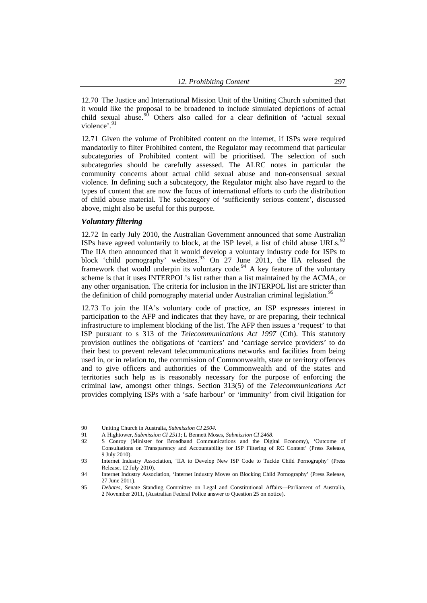12.70 The Justice and International Mission Unit of the Uniting Church submitted that it would like the proposal to be broadened to include simulated depictions of actual child sexual abuse.<sup>[90](#page-14-0)</sup> Others also called for a clear definition of 'actual sexual violence'.<sup>[91](#page-14-1)</sup>

12.71 Given the volume of Prohibited content on the internet, if ISPs were required mandatorily to filter Prohibited content, the Regulator may recommend that particular subcategories of Prohibited content will be prioritised. The selection of such subcategories should be carefully assessed. The ALRC notes in particular the community concerns about actual child sexual abuse and non-consensual sexual violence. In defining such a subcategory, the Regulator might also have regard to the types of content that are now the focus of international efforts to curb the distribution of child abuse material. The subcategory of 'sufficiently serious content', discussed above, might also be useful for this purpose.

#### *Voluntary filtering*

 $\overline{a}$ 

12.72 In early July 2010, the Australian Government announced that some Australian ISPs have agreed voluntarily to block, at the ISP level, a list of child abuse URLs.  $92$ The IIA then announced that it would develop a voluntary industry code for ISPs to block 'child pornography' websites.<sup>[93](#page-14-3)</sup> On 27 June 2011, the IIA released the framework that would underpin its voluntary code.<sup>[94](#page-14-4)</sup> A key feature of the voluntary scheme is that it uses INTERPOL's list rather than a list maintained by the ACMA, or any other organisation. The criteria for inclusion in the INTERPOL list are stricter than the definition of child pornography material under Australian criminal legislation.<sup>[95](#page-14-5)</sup>

12.73 To join the IIA's voluntary code of practice, an ISP expresses interest in participation to the AFP and indicates that they have, or are preparing, their technical infrastructure to implement blocking of the list. The AFP then issues a 'request' to that ISP pursuant to s 313 of the *Telecommunications Act 1997* (Cth). This statutory provision outlines the obligations of 'carriers' and 'carriage service providers' to do their best to prevent relevant telecommunications networks and facilities from being used in, or in relation to, the commission of Commonwealth, state or territory offences and to give officers and authorities of the Commonwealth and of the states and territories such help as is reasonably necessary for the purpose of enforcing the criminal law, amongst other things. Section 313(5) of the *Telecommunications Act* provides complying ISPs with a 'safe harbour' or 'immunity' from civil litigation for

<span id="page-14-0"></span><sup>90</sup> Uniting Church in Australia, *Submission CI 2504*.

<sup>91</sup> A Hightower, *Submission CI 2511*; L Bennett Moses, *Submission CI 2468*.

<span id="page-14-2"></span><span id="page-14-1"></span><sup>92</sup> S Conroy (Minister for Broadband Communications and the Digital Economy), 'Outcome of Consultations on Transparency and Accountability for ISP Filtering of RC Content' (Press Release, 9 July 2010).

<span id="page-14-3"></span><sup>93</sup> Internet Industry Association, 'IIA to Develop New ISP Code to Tackle Child Pornography' (Press Release, 12 July 2010).

<span id="page-14-4"></span><sup>94</sup> Internet Industry Association, 'Internet Industry Moves on Blocking Child Pornography' (Press Release, 27 June 2011).

<span id="page-14-5"></span><sup>95</sup> *Debates*, Senate Standing Committee on Legal and Constitutional Affairs—Parliament of Australia, 2 November 2011, (Australian Federal Police answer to Question 25 on notice).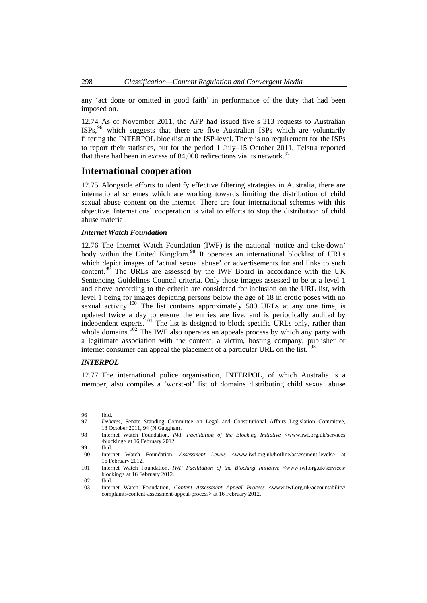<span id="page-15-0"></span>any 'act done or omitted in good faith' in performance of the duty that had been imposed on.

12.74 As of November 2011, the AFP had issued five s 313 requests to Australian  $ISPs<sup>96</sup>$  $ISPs<sup>96</sup>$  $ISPs<sup>96</sup>$  which suggests that there are five Australian ISPs which are voluntarily filtering the INTERPOL blocklist at the ISP-level. There is no requirement for the ISPs to report their statistics, but for the period 1 July–15 October 2011, Telstra reported that there had been in excess of  $84,000$  redirections via its network.<sup>[97](#page-15-2)</sup>

### **International cooperation**

12.75 Alongside efforts to identify effective filtering strategies in Australia, there are international schemes which are working towards limiting the distribution of child sexual abuse content on the internet. There are four international schemes with this objective. International cooperation is vital to efforts to stop the distribution of child abuse material.

### *Internet Watch Foundation*

12.76 The Internet Watch Foundation (IWF) is the national 'notice and take-down' body within the United Kingdom.<sup>[98](#page-15-3)</sup> It operates an international blocklist of URLs which depict images of 'actual sexual abuse' or advertisements for and links to such content.<sup>[99](#page-15-4)</sup> The URLs are assessed by the IWF Board in accordance with the UK Sentencing Guidelines Council criteria. Only those images assessed to be at a level 1 and above according to the criteria are considered for inclusion on the URL list, with level 1 being for images depicting persons below the age of 18 in erotic poses with no sexual activity.<sup>[100](#page-15-5)</sup> The list contains approximately 500 URLs at any one time, is updated twice a day to ensure the entries are live, and is periodically audited by independent experts.<sup>[101](#page-15-6)</sup> The list is designed to block specific URLs only, rather than whole domains.<sup>[102](#page-15-7)</sup> The IWF also operates an appeals process by which any party with a legitimate association with the content, a victim, hosting company, publisher or internet consumer can appeal the placement of a particular URL on the list.<sup>[103](#page-15-8)</sup>

#### *INTERPOL*

12.77 The international police organisation, INTERPOL, of which Australia is a member, also compiles a 'worst-of' list of domains distributing child sexual abuse

<span id="page-15-1"></span><sup>96</sup> Ibid.

<span id="page-15-2"></span><sup>97</sup> *Debates*, Senate Standing Committee on Legal and Constitutional Affairs Legislation Committee, 18 October 2011, 94 (N Gaughan).

<span id="page-15-3"></span><sup>98</sup> Internet Watch Foundation, *IWF Facilitation of the Blocking Initiative* <www.iwf.org.uk/services /blocking> at 16 February 2012.

<sup>99</sup> Ibid.

<span id="page-15-5"></span><span id="page-15-4"></span><sup>100</sup> Internet Watch Foundation, *Assessment Levels* <www.iwf.org.uk/hotline/assessment-levels> at 16 February 2012.

<span id="page-15-6"></span><sup>101</sup> Internet Watch Foundation, *IWF Facilitation of the Blocking Initiative* <www.iwf.org.uk/services/ blocking> at 16 February 2012.

<span id="page-15-7"></span><sup>102</sup> Ibid.

<span id="page-15-8"></span><sup>103</sup> Internet Watch Foundation, *Content Assessment Appeal Process* <www.iwf.org.uk/accountability/ complaints/content-assessment-appeal-process> at 16 February 2012.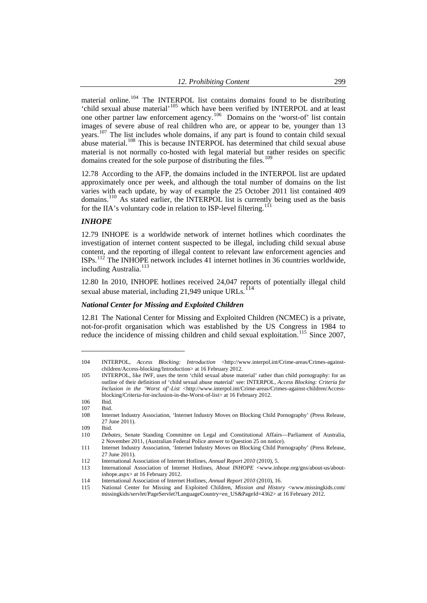material online.<sup>104</sup> The INTERPOL list contains domains found to be distributing <sup>the divided</sup>  $\frac{1}{105}$  which have been verified by INTERPOL and at least one other partner law enforcement agency.<sup>106</sup> Domains on the 'worst-of' list contain images of severe abuse of real children who are, or appear to be, younger than 13 years.<sup>107</sup> The list includes whole domains, if any part is found to contain child sexual abuse material.<sup>108</sup> This is because INTERPOL has determined that child sexual abuse material is not normally co-hosted with legal material but rather resides on specific domains created for the sole purpose of distributing the files.<sup>109</sup>

12.78 According to the AFP, the domains included in the INTERPOL list are updated approximately once per week, and although the total number of domains on the list varies with each update, by way of example the 25 October 2011 list contained 409 domains.<sup>[110](#page-16-0)</sup> As stated earlier, the INTERPOL list is currently being used as the basis for the IIA's voluntary code in relation to ISP-level filtering.<sup>[111](#page-16-1)</sup>

#### *INHOPE*

12.79 INHOPE is a worldwide network of internet hotlines which coordinates the investigation of internet content suspected to be illegal, including child sexual abuse content, and the reporting of illegal content to relevant law enforcement agencies and ISPs.[112](#page-16-2) The INHOPE network includes 41 internet hotlines in 36 countries worldwide, including Australia.<sup>[113](#page-16-3)</sup>

12.80 In 2010, INHOPE hotlines received 24,047 reports of potentially illegal child sexual abuse material, including 21,949 unique URLs.

#### *National Center for Missing and Exploited Children*

12.81 The National Center for Missing and Exploited Children (NCMEC) is a private, not-for-profit organisation which was established by the US Congress in 1984 to reduce the incidence of missing children and child sexual exploitation.<sup>[115](#page-16-5)</sup> Since 2007,

<sup>104</sup> INTERPOL, *Access Blocking: Introduction* <http://www.interpol.int/Crime-areas/Crimes-againstchildren/Access-blocking/Introduction> at 16 February 2012.

<sup>105</sup> INTERPOL, like IWF, uses the term 'child sexual abuse material' rather than child pornography: for an outline of their definition of 'child sexual abuse material' see: INTERPOL, *Access Blocking: Criteria for Inclusion in the 'Worst of'-List* <http://www.interpol.int/Crime-areas/Crimes-against-children/Accessblocking/Criteria-for-inclusion-in-the-Worst-of-list> at 16 February 2012.

<sup>106</sup> Ibid.

<sup>107</sup> Ibid.

<sup>108</sup> Internet Industry Association, 'Internet Industry Moves on Blocking Child Pornography' (Press Release, 27 June 2011).

<sup>109</sup> Ibid.

<span id="page-16-0"></span><sup>110</sup> *Debates*, Senate Standing Committee on Legal and Constitutional Affairs—Parliament of Australia, 2 November 2011, (Australian Federal Police answer to Question 25 on notice).

<span id="page-16-1"></span><sup>111</sup> Internet Industry Association, 'Internet Industry Moves on Blocking Child Pornography' (Press Release, 27 June 2011).

<span id="page-16-2"></span><sup>112</sup> International Association of Internet Hotlines, *Annual Report 2010* (2010), 5.

<span id="page-16-3"></span><sup>113</sup> International Association of Internet Hotlines, *About INHOPE* <www.inhope.org/gns/about-us/aboutinhope.aspx> at 16 February 2012.

<span id="page-16-5"></span><span id="page-16-4"></span><sup>114</sup> International Association of Internet Hotlines, *Annual Report 2010* (2010), 16.

<sup>115</sup> National Center for Missing and Exploited Children, *Mission and History* <www.missingkids.com/ missingkids/servlet/PageServlet?LanguageCountry=en\_US&PageId=4362> at 16 February 2012.